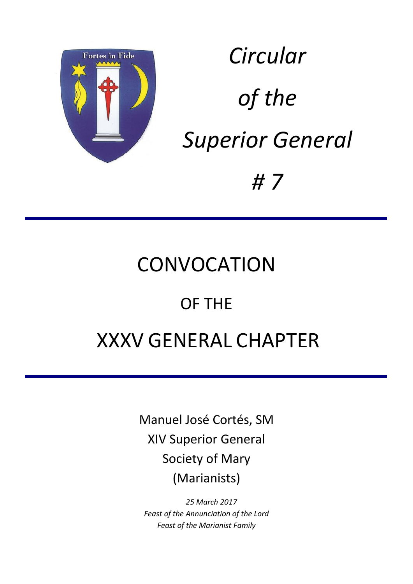

*Circular of the Superior General # 7*

## **CONVOCATION**

### OF THE

# XXXV GENERAL CHAPTER

Manuel José Cortés, SM XIV Superior General Society of Mary (Marianists)

*25 March 2017 Feast of the Annunciation of the Lord Feast of the Marianist Family*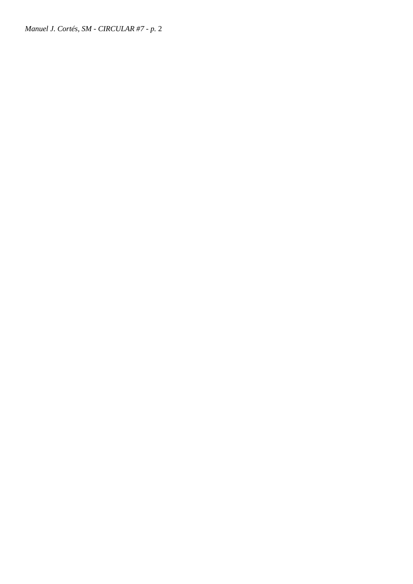*Manuel J. Cortés, SM - CIRCULAR #7 - p.* 2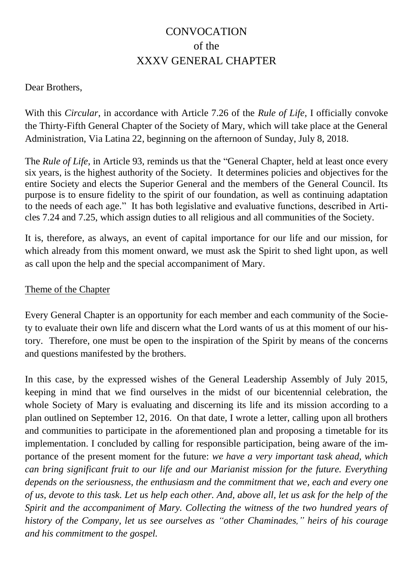### **CONVOCATION** of the XXXV GENERAL CHAPTER

#### Dear Brothers,

With this *Circular*, in accordance with Article 7.26 of the *Rule of Life*, I officially convoke the Thirty-Fifth General Chapter of the Society of Mary, which will take place at the General Administration, Via Latina 22, beginning on the afternoon of Sunday, July 8, 2018.

The *Rule of Life*, in Article 93, reminds us that the "General Chapter, held at least once every six years, is the highest authority of the Society. It determines policies and objectives for the entire Society and elects the Superior General and the members of the General Council. Its purpose is to ensure fidelity to the spirit of our foundation, as well as continuing adaptation to the needs of each age." It has both legislative and evaluative functions, described in Articles 7.24 and 7.25, which assign duties to all religious and all communities of the Society.

It is, therefore, as always, an event of capital importance for our life and our mission, for which already from this moment onward, we must ask the Spirit to shed light upon, as well as call upon the help and the special accompaniment of Mary.

#### Theme of the Chapter

Every General Chapter is an opportunity for each member and each community of the Society to evaluate their own life and discern what the Lord wants of us at this moment of our history. Therefore, one must be open to the inspiration of the Spirit by means of the concerns and questions manifested by the brothers.

In this case, by the expressed wishes of the General Leadership Assembly of July 2015, keeping in mind that we find ourselves in the midst of our bicentennial celebration, the whole Society of Mary is evaluating and discerning its life and its mission according to a plan outlined on September 12, 2016. On that date, I wrote a letter, calling upon all brothers and communities to participate in the aforementioned plan and proposing a timetable for its implementation. I concluded by calling for responsible participation, being aware of the importance of the present moment for the future: *we have a very important task ahead, which can bring significant fruit to our life and our Marianist mission for the future. Everything depends on the seriousness, the enthusiasm and the commitment that we, each and every one of us, devote to this task. Let us help each other. And, above all, let us ask for the help of the Spirit and the accompaniment of Mary. Collecting the witness of the two hundred years of history of the Company, let us see ourselves as "other Chaminades," heirs of his courage and his commitment to the gospel.*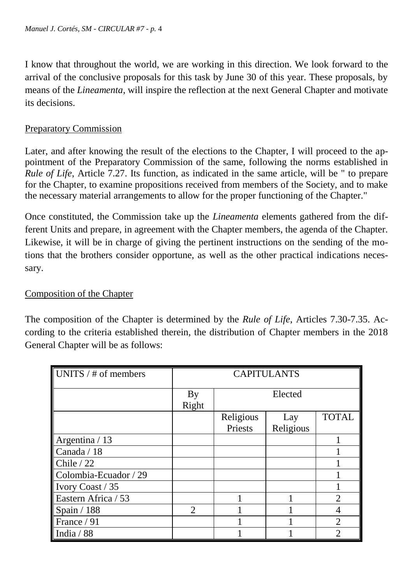I know that throughout the world, we are working in this direction. We look forward to the arrival of the conclusive proposals for this task by June 30 of this year. These proposals, by means of the *Lineamenta*, will inspire the reflection at the next General Chapter and motivate its decisions.

#### Preparatory Commission

Later, and after knowing the result of the elections to the Chapter, I will proceed to the appointment of the Preparatory Commission of the same, following the norms established in *Rule of Life*, Article 7.27. Its function, as indicated in the same article, will be " to prepare for the Chapter, to examine propositions received from members of the Society, and to make the necessary material arrangements to allow for the proper functioning of the Chapter."

Once constituted, the Commission take up the *Lineamenta* elements gathered from the different Units and prepare, in agreement with the Chapter members, the agenda of the Chapter. Likewise, it will be in charge of giving the pertinent instructions on the sending of the motions that the brothers consider opportune, as well as the other practical indications necessary.

#### Composition of the Chapter

The composition of the Chapter is determined by the *Rule of Life*, Articles 7.30-7.35. According to the criteria established therein, the distribution of Chapter members in the 2018 General Chapter will be as follows:

| UNITS $/$ # of members | <b>CAPITULANTS</b>          |           |           |                |  |
|------------------------|-----------------------------|-----------|-----------|----------------|--|
|                        | By<br>Right                 | Elected   |           |                |  |
|                        |                             | Religious | Lay       | <b>TOTAL</b>   |  |
|                        |                             | Priests   | Religious |                |  |
| Argentina $/ 13$       |                             |           |           |                |  |
| Canada / 18            |                             |           |           |                |  |
| Chile $/22$            |                             |           |           |                |  |
| Colombia-Ecuador / 29  |                             |           |           |                |  |
| Ivory Coast / 35       |                             |           |           |                |  |
| Eastern Africa / 53    |                             |           |           | $\mathfrak{D}$ |  |
| Spain $/$ 188          | $\mathcal{D}_{\mathcal{L}}$ |           |           |                |  |
| France / 91            |                             |           |           | $\overline{2}$ |  |
| India $/ 88$           |                             |           |           | $\overline{2}$ |  |